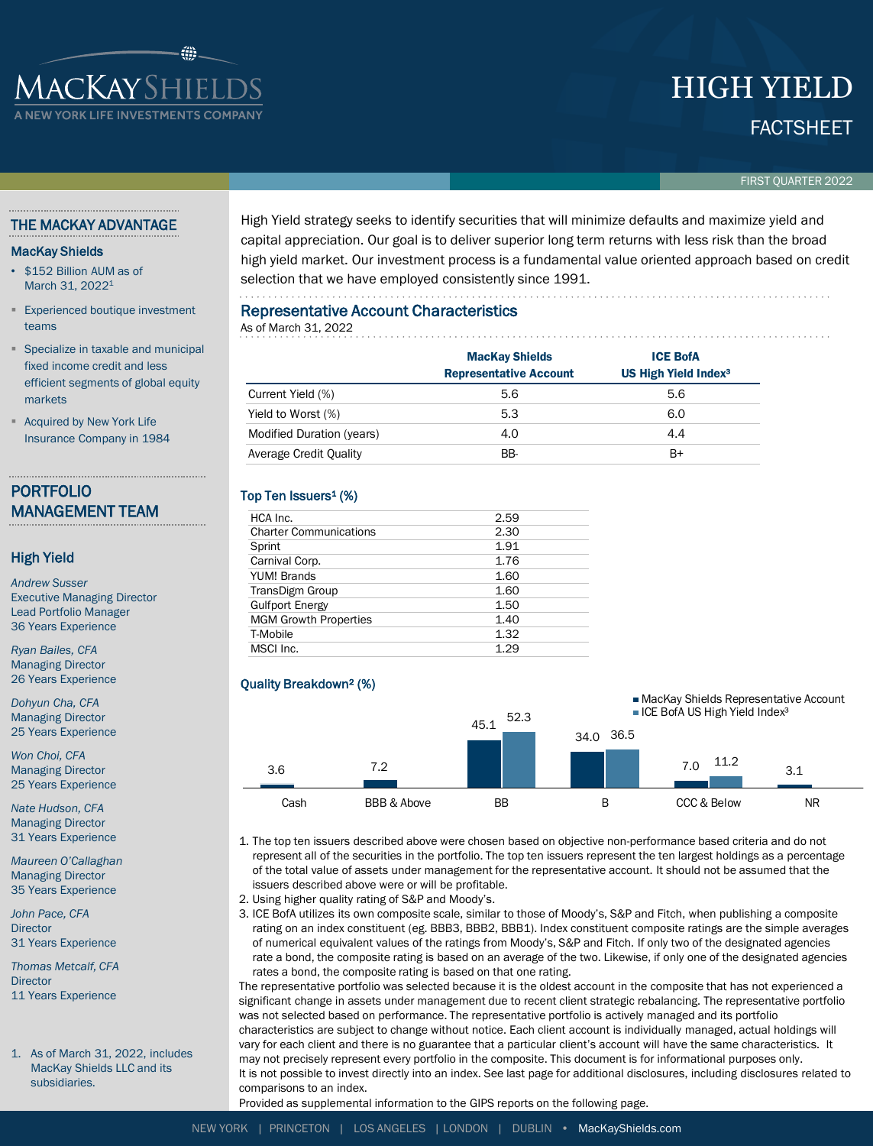# FACTSHEET HIGH YIELD

#### FIRST QUARTER 2022

#### THE MACKAY ADVANTAGE

**IACKAYSHIELDS** 

**N YORK LIFE INVESTMENTS C** 

#### MacKay Shields

- \$152 Billion AUM as of March 31, 2022<sup>1</sup>
- **Experienced boutique investment** teams
- Specialize in taxable and municipal fixed income credit and less efficient segments of global equity markets
- **Acquired by New York Life** Insurance Company in 1984

# PORTFOLIO MANAGEMENT TEAM

#### High Yield

*Andrew Susser* Executive Managing Director Lead Portfolio Manager 36 Years Experience

*Ryan Bailes, CFA* Managing Director 26 Years Experience

*Dohyun Cha, CFA* Managing Director 25 Years Experience

*Won Choi, CFA* Managing Director 25 Years Experience

*Nate Hudson, CFA* Managing Director 31 Years Experience

*Maureen O'Callaghan* Managing Director 35 Years Experience

*John Pace, CFA* **Director** 31 Years Experience

*Thomas Metcalf, CFA* **Director** 11 Years Experience

1. As of March 31, 2022, includes MacKay Shields LLC and its subsidiaries.

High Yield strategy seeks to identify securities that will minimize defaults and maximize yield and capital appreciation. Our goal is to deliver superior long term returns with less risk than the broad high yield market. Our investment process is a fundamental value oriented approach based on credit selection that we have employed consistently since 1991.

## Representative Account Characteristics

#### As of March 31, 2022

|                           | <b>MacKay Shields</b><br><b>Representative Account</b> | <b>ICE BofA</b><br>US High Yield Index <sup>3</sup> |  |  |
|---------------------------|--------------------------------------------------------|-----------------------------------------------------|--|--|
| Current Yield (%)         | 5.6                                                    | 5.6                                                 |  |  |
| Yield to Worst (%)        | 5.3                                                    | 6.0                                                 |  |  |
| Modified Duration (years) | 4.0                                                    | 4.4                                                 |  |  |
| Average Credit Quality    | BB-                                                    | B+                                                  |  |  |

## Top Ten Issuers<sup>1</sup> (%)

| 2.59<br>2.30<br>1.91<br>1.76<br>1.60 |  |
|--------------------------------------|--|
|                                      |  |
|                                      |  |
|                                      |  |
|                                      |  |
|                                      |  |
| 1.60                                 |  |
| 1.50                                 |  |
| 1.40                                 |  |
| 1.32                                 |  |
| 1.29                                 |  |
|                                      |  |

#### Quality Breakdown² (%)



1. The top ten issuers described above were chosen based on objective non-performance based criteria and do not represent all of the securities in the portfolio. The top ten issuers represent the ten largest holdings as a percentage of the total value of assets under management for the representative account. It should not be assumed that the issuers described above were or will be profitable.

2. Using higher quality rating of S&P and Moody's.

3. ICE BofA utilizes its own composite scale, similar to those of Moody's, S&P and Fitch, when publishing a composite rating on an index constituent (eg. BBB3, BBB2, BBB1). Index constituent composite ratings are the simple averages of numerical equivalent values of the ratings from Moody's, S&P and Fitch. If only two of the designated agencies rate a bond, the composite rating is based on an average of the two. Likewise, if only one of the designated agencies rates a bond, the composite rating is based on that one rating.

The representative portfolio was selected because it is the oldest account in the composite that has not experienced a significant change in assets under management due to recent client strategic rebalancing. The representative portfolio was not selected based on performance. The representative portfolio is actively managed and its portfolio characteristics are subject to change without notice. Each client account is individually managed, actual holdings will vary for each client and there is no guarantee that a particular client's account will have the same characteristics. It may not precisely represent every portfolio in the composite. This document is for informational purposes only. It is not possible to invest directly into an index. See last page for additional disclosures, including disclosures related to comparisons to an index.

Provided as supplemental information to the GIPS reports on the following page.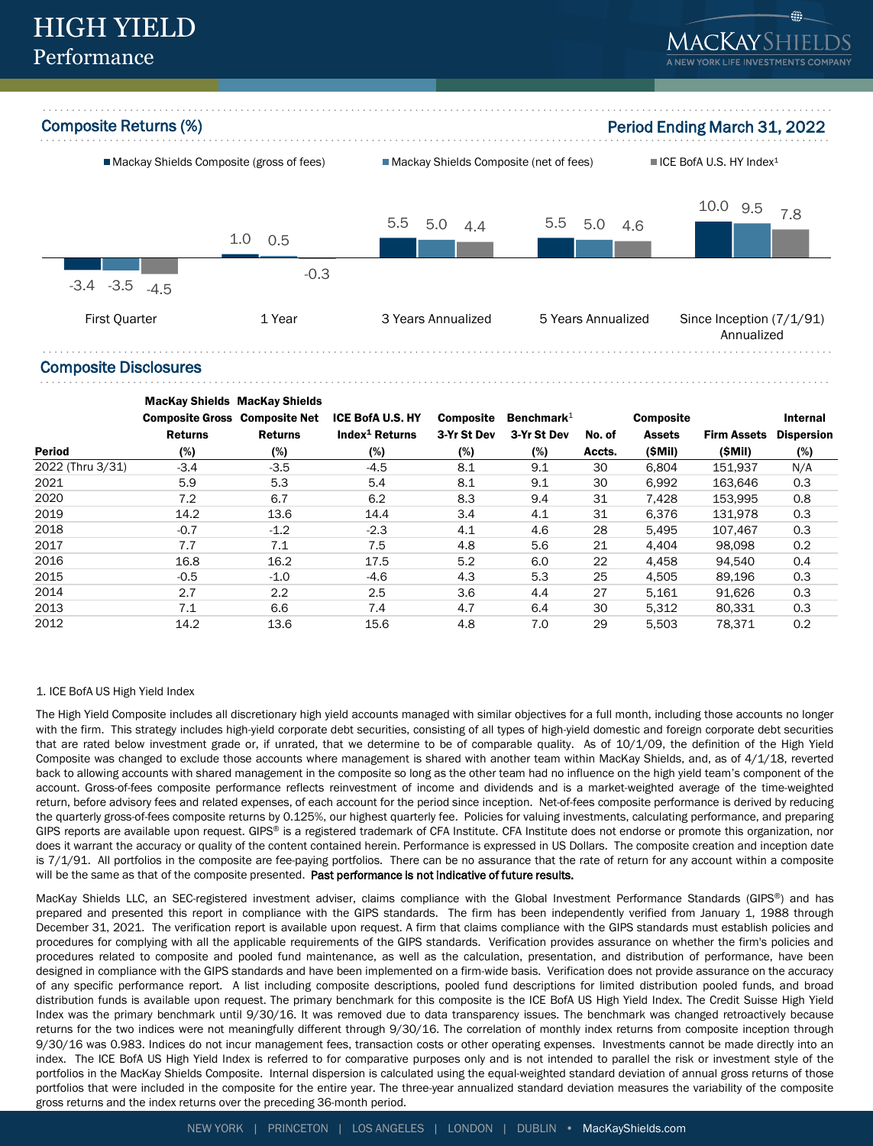

### Composite Disclosures

|                  | <b>MacKay Shields MacKay Shields</b><br><b>Composite Gross Composite Net</b> |                | <b>ICE BofA U.S. HY</b>    | <b>Composite</b> | Benchmark $1$ |        | <b>Composite</b> |                    | Internal          |
|------------------|------------------------------------------------------------------------------|----------------|----------------------------|------------------|---------------|--------|------------------|--------------------|-------------------|
|                  | <b>Returns</b>                                                               | <b>Returns</b> | Index <sup>1</sup> Returns | 3-Yr St Dev      | 3-Yr St Dev   | No. of | <b>Assets</b>    | <b>Firm Assets</b> | <b>Dispersion</b> |
| <b>Period</b>    | $(\%)$                                                                       | (%)            | (%)                        | (%)              | (%)           | Accts. | (SMil)           | (SMil)             | (%)               |
| 2022 (Thru 3/31) | $-3.4$                                                                       | $-3.5$         | $-4.5$                     | 8.1              | 9.1           | 30     | 6.804            | 151.937            | N/A               |
| 2021             | 5.9                                                                          | 5.3            | 5.4                        | 8.1              | 9.1           | 30     | 6.992            | 163.646            | 0.3               |
| 2020             | 7.2                                                                          | 6.7            | 6.2                        | 8.3              | 9.4           | 31     | 7,428            | 153.995            | 0.8               |
| 2019             | 14.2                                                                         | 13.6           | 14.4                       | 3.4              | 4.1           | 31     | 6.376            | 131.978            | 0.3               |
| 2018             | $-0.7$                                                                       | $-1.2$         | $-2.3$                     | 4.1              | 4.6           | 28     | 5,495            | 107,467            | 0.3               |
| 2017             | 7.7                                                                          | 7.1            | 7.5                        | 4.8              | 5.6           | 21     | 4.404            | 98.098             | 0.2               |
| 2016             | 16.8                                                                         | 16.2           | 17.5                       | 5.2              | 6.0           | 22     | 4,458            | 94,540             | 0.4               |
| 2015             | $-0.5$                                                                       | $-1.0$         | $-4.6$                     | 4.3              | 5.3           | 25     | 4.505            | 89.196             | 0.3               |
| 2014             | 2.7                                                                          | 2.2            | 2.5                        | 3.6              | 4.4           | 27     | 5.161            | 91.626             | 0.3               |
| 2013             | 7.1                                                                          | 6.6            | 7.4                        | 4.7              | 6.4           | 30     | 5,312            | 80.331             | 0.3               |
| 2012             | 14.2                                                                         | 13.6           | 15.6                       | 4.8              | 7.0           | 29     | 5.503            | 78.371             | 0.2               |

#### 1. ICE BofA US High Yield Index

The High Yield Composite includes all discretionary high yield accounts managed with similar objectives for a full month, including those accounts no longer with the firm. This strategy includes high-yield corporate debt securities, consisting of all types of high-yield domestic and foreign corporate debt securities that are rated below investment grade or, if unrated, that we determine to be of comparable quality. As of 10/1/09, the definition of the High Yield Composite was changed to exclude those accounts where management is shared with another team within MacKay Shields, and, as of 4/1/18, reverted back to allowing accounts with shared management in the composite so long as the other team had no influence on the high yield team's component of the account. Gross-of-fees composite performance reflects reinvestment of income and dividends and is a market-weighted average of the time-weighted return, before advisory fees and related expenses, of each account for the period since inception. Net-of-fees composite performance is derived by reducing the quarterly gross-of-fees composite returns by 0.125%, our highest quarterly fee. Policies for valuing investments, calculating performance, and preparing GIPS reports are available upon request. GIPS® is a registered trademark of CFA Institute. CFA Institute does not endorse or promote this organization, nor does it warrant the accuracy or quality of the content contained herein. Performance is expressed in US Dollars. The composite creation and inception date is 7/1/91. All portfolios in the composite are fee-paying portfolios. There can be no assurance that the rate of return for any account within a composite will be the same as that of the composite presented. Past performance is not indicative of future results.

MacKay Shields LLC, an SEC-registered investment adviser, claims compliance with the Global Investment Performance Standards (GIPS®) and has prepared and presented this report in compliance with the GIPS standards. The firm has been independently verified from January 1, 1988 through December 31, 2021. The verification report is available upon request. A firm that claims compliance with the GIPS standards must establish policies and procedures for complying with all the applicable requirements of the GIPS standards. Verification provides assurance on whether the firm's policies and procedures related to composite and pooled fund maintenance, as well as the calculation, presentation, and distribution of performance, have been designed in compliance with the GIPS standards and have been implemented on a firm-wide basis. Verification does not provide assurance on the accuracy of any specific performance report. A list including composite descriptions, pooled fund descriptions for limited distribution pooled funds, and broad distribution funds is available upon request. The primary benchmark for this composite is the ICE BofA US High Yield Index. The Credit Suisse High Yield Index was the primary benchmark until 9/30/16. It was removed due to data transparency issues. The benchmark was changed retroactively because returns for the two indices were not meaningfully different through 9/30/16. The correlation of monthly index returns from composite inception through 9/30/16 was 0.983. Indices do not incur management fees, transaction costs or other operating expenses. Investments cannot be made directly into an index. The ICE BofA US High Yield Index is referred to for comparative purposes only and is not intended to parallel the risk or investment style of the portfolios in the MacKay Shields Composite. Internal dispersion is calculated using the equal-weighted standard deviation of annual gross returns of those portfolios that were included in the composite for the entire year. The three-year annualized standard deviation measures the variability of the composite gross returns and the index returns over the preceding 36-month period.